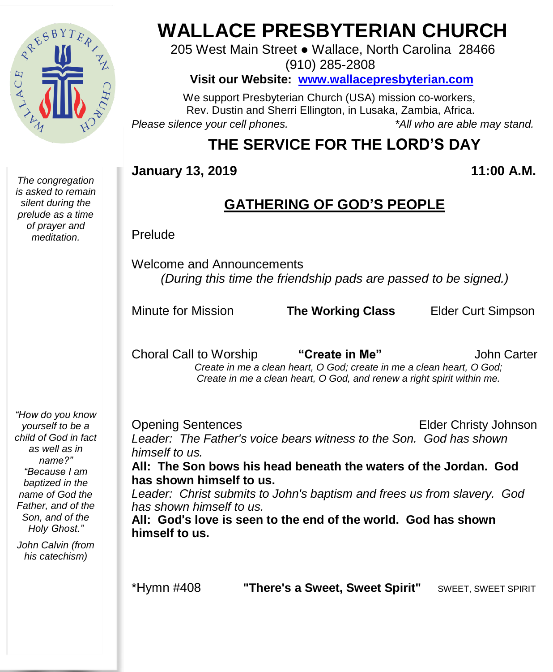

*The congregation is asked to remain silent during the prelude as a time of prayer and meditation.*

# **WALLACE PRESBYTERIAN CHURCH**

205 West Main Street ● Wallace, North Carolina 28466 (910) 285-2808

**Visit our Website: [www.wallacepresbyterian.com](http://www.wallacepresbyterian.com/)**

 We support Presbyterian Church (USA) mission co-workers, Rev. Dustin and Sherri Ellington, in Lusaka, Zambia, Africa. *Please silence your cell phones. \*All who are able may stand.*

# **THE SERVICE FOR THE LORD'S DAY**

#### **January 13, 2019 11:00 A.M.**

#### **GATHERING OF GOD'S PEOPLE**

Prelude

Welcome and Announcements *(During this time the friendship pads are passed to be signed.)*

Minute for Mission **The Working Class** Elder Curt Simpson

Choral Call to Worship **"Create in Me"** John Carter  *Create in me a clean heart, O God; create in me a clean heart, O God; Create in me a clean heart, O God, and renew a right spirit within me.*

*"How do you know yourself to be a child of God in fact as well as in name?" "Because I am baptized in the name of God the Father, and of the Son, and of the Holy Ghost."*

*John Calvin (from his catechism)*

Opening Sentences Elder Christy Johnson *Leader: The Father's voice bears witness to the Son. God has shown himself to us.*

**All: The Son bows his head beneath the waters of the Jordan. God has shown himself to us.**

*Leader: Christ submits to John's baptism and frees us from slavery. God has shown himself to us.*

**All: God**'**s love is seen to the end of the world. God has shown himself to us.**

\*Hymn #408 **"There's a Sweet, Sweet Spirit"** SWEET, SWEET SPIRIT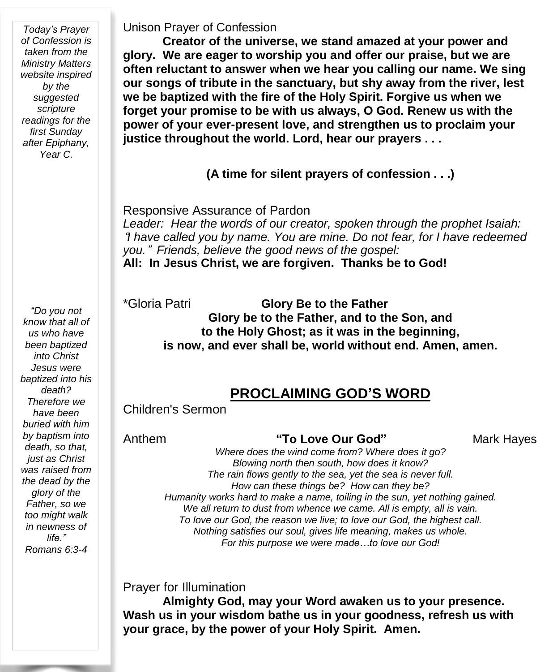*Today's Prayer of Confession is taken from the Ministry Matters website inspired by the suggested scripture readings for the first Sunday after Epiphany, Year C.*

*"Do you not know that all of us who have been baptized into Christ Jesus were baptized into his death? Therefore we have been buried with him by baptism into death, so that, just as Christ was raised from the dead by the glory of the Father, so we too might walk in newness of life." Romans 6:3-4*

Unison Prayer of Confession

**Creator of the universe, we stand amazed at your power and glory. We are eager to worship you and offer our praise, but we are often reluctant to answer when we hear you calling our name. We sing our songs of tribute in the sanctuary, but shy away from the river, lest we be baptized with the fire of the Holy Spirit. Forgive us when we forget your promise to be with us always, O God. Renew us with the power of your ever-present love, and strengthen us to proclaim your justice throughout the world. Lord, hear our prayers . . .**

**(A time for silent prayers of confession . . .)**

Responsive Assurance of Pardon *Leader: Hear the words of our creator, spoken through the prophet Isaiah:* "*I have called you by name. You are mine. Do not fear, for I have redeemed you.*" *Friends, believe the good news of the gospel:* **All: In Jesus Christ, we are forgiven. Thanks be to God!**

\*Gloria Patri **Glory Be to the Father Glory be to the Father, and to the Son, and to the Holy Ghost; as it was in the beginning, is now, and ever shall be, world without end. Amen, amen.**

#### **PROCLAIMING GOD'S WORD**

Children's Sermon

Anthem **"To Love Our God"** Mark Hayes

*Where does the wind come from? Where does it go? Blowing north then south, how does it know? The rain flows gently to the sea, yet the sea is never full. How can these things be? How can they be? Humanity works hard to make a name, toiling in the sun, yet nothing gained. We all return to dust from whence we came. All is empty, all is vain. To love our God, the reason we live; to love our God, the highest call. Nothing satisfies our soul, gives life meaning, makes us whole. For this purpose we were made…to love our God!*

Prayer for Illumination

**Almighty God, may your Word awaken us to your presence. Wash us in your wisdom bathe us in your goodness, refresh us with your grace, by the power of your Holy Spirit. Amen.**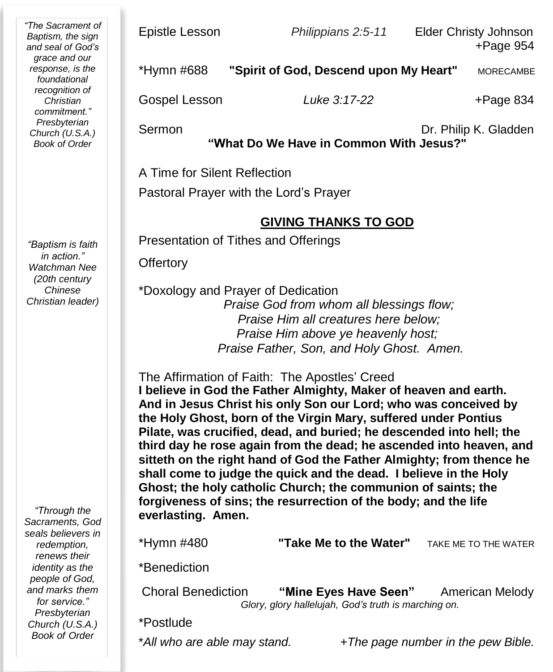*"The Sacrament of Baptism, the sign and seal of God's grace and our response, is the foundational recognition of Christian commitment." Presbyterian Church (U.S.A.) Book of Order*

*"Baptism is faith in action." Watchman Nee (20th century Chinese Christian leader)*

*"Through the Sacraments, God seals believers in redemption, renews their identity as the people of God, and marks them for service." Presbyterian Church (U.S.A.) Book of Order*

Epistle Lesson *Philippians 2:5-11* Elder Christy Johnson +Page 954

| *Hymn #688    | "Spirit of God, Descend upon My Heart" | <b>MORECAMBE</b> |
|---------------|----------------------------------------|------------------|
| Gospel Lesson | Luke 3:17-22                           | $+$ Page 834     |

Sermon **Dr. Philip K. Gladden** 

**"What Do We Have in Common With Jesus?"**

A Time for Silent Reflection

Pastoral Prayer with the Lord's Prayer

#### **GIVING THANKS TO GOD**

Presentation of Tithes and Offerings

**Offertory** 

\*Doxology and Prayer of Dedication *Praise God from whom all blessings flow; Praise Him all creatures here below; Praise Him above ye heavenly host; Praise Father, Son, and Holy Ghost. Amen.*

The Affirmation of Faith: The Apostles' Creed **I believe in God the Father Almighty, Maker of heaven and earth. And in Jesus Christ his only Son our Lord; who was conceived by the Holy Ghost, born of the Virgin Mary, suffered under Pontius Pilate, was crucified, dead, and buried; he descended into hell; the third day he rose again from the dead; he ascended into heaven, and sitteth on the right hand of God the Father Almighty; from thence he shall come to judge the quick and the dead. I believe in the Holy Ghost; the holy catholic Church; the communion of saints; the forgiveness of sins; the resurrection of the body; and the life everlasting. Amen.**

\*Hymn #480 **"Take Me to the Water"** TAKE ME TO THE WATER

\*Benediction

Choral Benediction **"Mine Eyes Have Seen"** American Melody  *Glory, glory hallelujah, God's truth is marching on.*

\*Postlude

\**All who are able may stand. +The page number in the pew Bible.*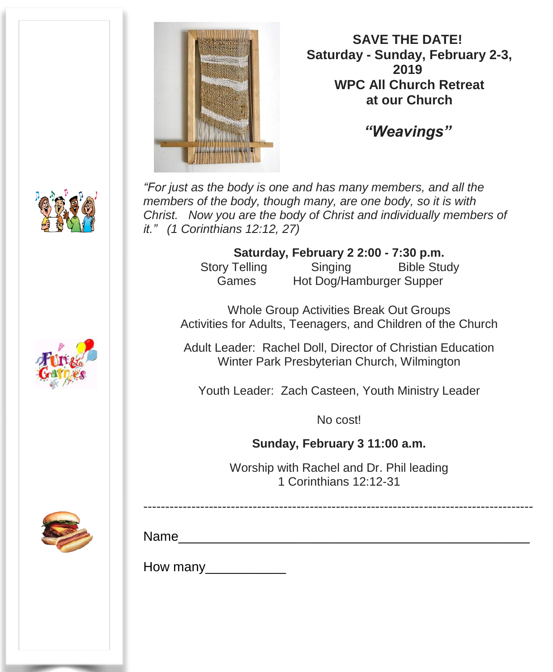

**SAVE THE DATE! Saturday - Sunday, February 2-3, 2019 WPC All Church Retreat at our Church**

*"Weavings"*

*"For just as the body is one and has many members, and all the members of the body, though many, are one body, so it is with Christ. Now you are the body of Christ and individually members of it." (1 Corinthians 12:12, 27)*

> **Saturday, February 2 2:00 - 7:30 p.m.** Story Telling Singing Bible Study Games Hot Dog/Hamburger Supper

Whole Group Activities Break Out Groups Activities for Adults, Teenagers, and Children of the Church

Adult Leader: Rachel Doll, Director of Christian Education Winter Park Presbyterian Church, Wilmington

Youth Leader: Zach Casteen, Youth Ministry Leader

No cost!

**Sunday, February 3 11:00 a.m.**

Worship with Rachel and Dr. Phil leading 1 Corinthians 12:12-31

-----------------------------------------------------------------------------------------



Name\_\_\_\_\_\_\_\_\_\_\_\_\_\_\_\_\_\_\_\_\_\_\_\_\_\_\_\_\_\_\_\_\_\_\_\_\_\_\_\_\_\_\_\_\_\_\_\_

How many\_\_\_\_\_\_\_\_\_\_\_





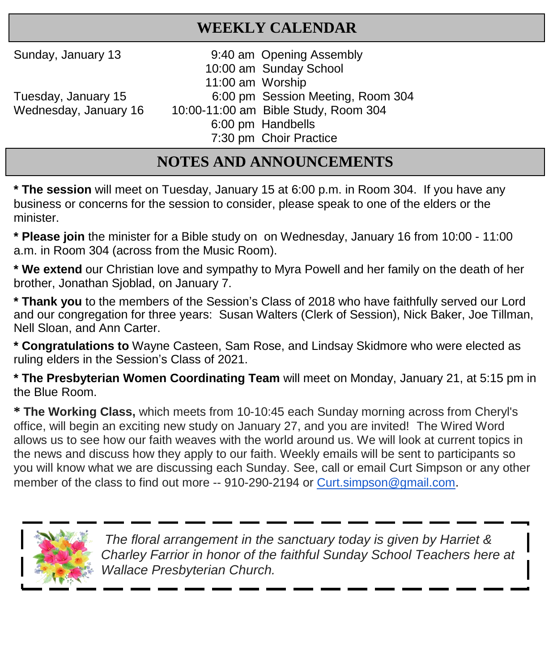## **WEEKLY CALENDAR**

Sunday, January 13 9:40 am Opening Assembly

 10:00 am Sunday School 11:00 am Worship Tuesday, January 15 6:00 pm Session Meeting, Room 304

Wednesday, January 16 10:00-11:00 am Bible Study, Room 304 6:00 pm Handbells

7:30 pm Choir Practice

**NOTES AND ANNOUNCEMENTS**

**\* The session** will meet on Tuesday, January 15 at 6:00 p.m. in Room 304. If you have any business or concerns for the session to consider, please speak to one of the elders or the minister.

**\* Please join** the minister for a Bible study on on Wednesday, January 16 from 10:00 - 11:00 a.m. in Room 304 (across from the Music Room).

**\* We extend** our Christian love and sympathy to Myra Powell and her family on the death of her brother, Jonathan Sjoblad, on January 7.

**\* Thank you** to the members of the Session's Class of 2018 who have faithfully served our Lord and our congregation for three years: Susan Walters (Clerk of Session), Nick Baker, Joe Tillman. Nell Sloan, and Ann Carter.

**\* Congratulations to** Wayne Casteen, Sam Rose, and Lindsay Skidmore who were elected as ruling elders in the Session's Class of 2021.

**\* The Presbyterian Women Coordinating Team** will meet on Monday, January 21, at 5:15 pm in the Blue Room.

**\* The Working Class,** which meets from 10-10:45 each Sunday morning across from Cheryl's office, will begin an exciting new study on January 27, and you are invited! The Wired Word allows us to see how our faith weaves with the world around us. We will look at current topics in the news and discuss how they apply to our faith. Weekly emails will be sent to participants so you will know what we are discussing each Sunday. See, call or email Curt Simpson or any other member of the class to find out more -- 910-290-2194 or [Curt.simpson@gmail.com](mailto:Curt.simpson@gmail.com).



 *The floral arrangement in the sanctuary today is given by Harriet & Charley Farrior in honor of the faithful Sunday School Teachers here at Wallace Presbyterian Church.*